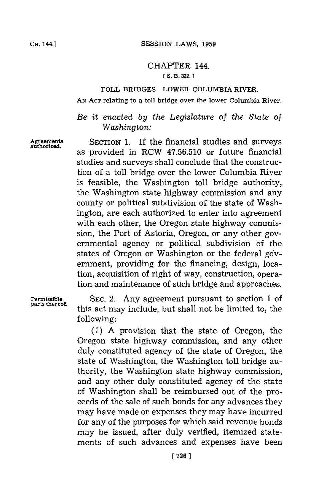## CHAPTER 144.

## **[ S. B. 332.]1**

## TOLL BRIDGES-LOWER **COLUMBIA** RIVER.

**AN ACT** relating to a toll bridge over the lower Columbia River.

*Be it enacted by the Legislature of the State of Washington:*

Agreements SECTION **1.** If the financial studies and surveys authorized. as provided in RCW **47.56.510** or future financial studies and surveys shall conclude that the construction of a toll bridge over the lower Columbia River is feasible, the Washington toll bridge authority, the Washington state highway commission and any county or political subdivision of the state of Washington, are each authorized to enter into agreement with each other, the Oregon state highway commission, the Port of Astoria, Oregon, or any other governmental agency or political subdivision of the states of Oregon or Washington or the federal goverment, providing for the financing, design, location, acquisition of right of way, construction, operation and maintenance of such bridge and approaches.

**Permissible SEC.** 2. Any agreement pursuant to section **1** of this act may include, but shall not be limited to, the following:

> **(1) A** provision that the state of Oregon, the Oregon state highway commission, and any other duly constituted agency of the state of Oregon, the state of Washington, the Washington toll bridge authority, the Washington state highway commission, and any other duly constituted agency of the state of Washington shall be reimbursed out of the proceeds of the sale of such bonds for any advances they may have made or expenses they may have incurred for any of the purposes for which said revenue bonds may be issued, after duly verified, itemized statements of such advances and expenses have been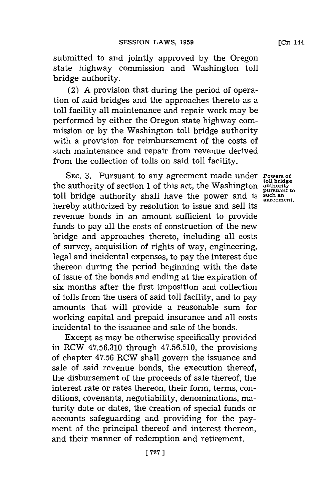submitted to and jointly approved **by** the Oregon state highway commission and Washington toll bridge authority.

(2) **A** provision that during the period of operation of said bridges and the approaches thereto as a toll facility all maintenance and repair work may be performed **by** either the Oregon state highway commission or **by** the Washington toll bridge authority with a provision for reimbursement of the costs of such maintenance and repair from revenue derived from the collection of tolls on said toll facility.

SEC. 3. Pursuant to any agreement made under **Powers of** the authority of section **1** of this act, the Washington **authority** toll bridge authority shall have the power and is such an **agreement**. hereby authorized **by** resolution to issue and sell its revenue bonds in an amount sufficient to provide funds to pay all the costs of construction of the new bridge and approaches thereto, including all costs of survey, acquisition of rights of way, engineering, legal and incidental expenses, to pay the interest due thereon during the period beginning with the date of issue of the bonds and ending at the expiration of six months after the first imposition and collection of tolls from the users of said toll facility, and to pay amounts that will provide a reasonable sum for working capital and prepaid insurance and all costs incidental to the issuance and sale of the bonds.

Except as may be otherwise specifically provided in RCW **47.56.310** through **47.56.510,** the provisions of chapter **47.56** RCW shall govern the issuance and sale of said revenue bonds, the execution thereof, the disbursement of the proceeds of sale thereof, the interest rate or rates thereon, their form, terms, conditions, covenants, negotiability, denominations, maturity date or dates, the creation of special funds or accounts safeguarding and providing for the payment of the principal thereof and interest thereon, and their manner of redemption and retirement.

**pursuant to**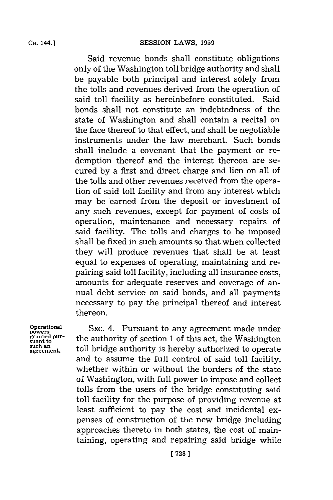**CH.** 144.]

Said revenue bonds shall constitute obligations only of the Washington toll bridge authority and shall be payable both principal and interest solely from the tolls and revenues derived from the operation of said toll facility as hereinbefore constituted. Said bonds shall not constitute an indebtedness of the state of Washington and shall contain a recital on the face thereof to that effect, and shall be negotiable instruments under the law merchant. Such bonds shall include a covenant that the payment or redemption thereof and the interest thereon are secured **by** a first and direct charge and lien on all of the tolls and other revenues received from the operation of said toll facility and from any interest which may be'earned from the deposit or investment of any such revenues, except for payment of costs of operation, maintenance and necessary repairs of said facility. The tolls and charges to be imposed shall be fixed in such amounts so that when collected they will produce revenues that shall be at least equal to expenses of operating, maintaining and repairing said toll facility, including all insurance costs, amounts for adequate reserves and coverage of annual debt service on said bonds, and all payments necessary to pay the principal thereof and interest thereon.

powers<br>granted pur-<br>suant to

**operational SEC.** 4. Pursuant to any agreement made under **granted pur-**the authority of section 1 of this act, the Washington such an **the Supplement.** toll bridge authority is hereby authorized to operate and to assume the full control of said toll facility, whether within or without the borders of the state of Washington, with full power to impose and collect tolls from the users of the bridge constituting said toll facility for the purpose of providing revenue at least sufficient to pay the cost and incidental expenses of construction of the new bridge including approaches thereto in both states, the cost of maintaining, operating and repairing said bridge while